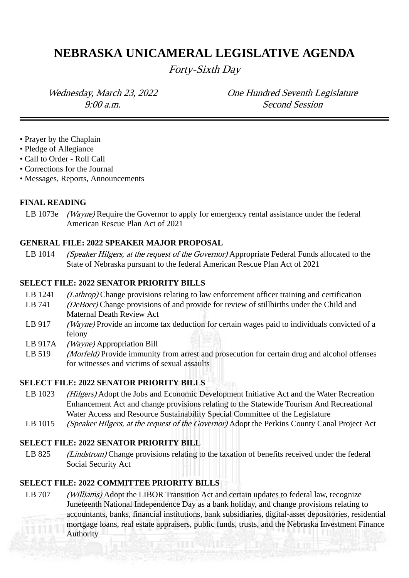# **NEBRASKA UNICAMERAL LEGISLATIVE AGENDA**

Forty-Sixth Day

Wednesday, March 23, 2022 **One Hundred Seventh Legislature** 9:00 a.m. Second Session

- Prayer by the Chaplain
- Pledge of Allegiance
- Call to Order Roll Call
- Corrections for the Journal
- Messages, Reports, Announcements

#### **FINAL READING**

LB 1073e *(Wayne)* Require the Governor to apply for emergency rental assistance under the federal American Rescue Plan Act of 2021

#### **GENERAL FILE: 2022 SPEAKER MAJOR PROPOSAL**

LB 1014 (Speaker Hilgers, at the request of the Governor) Appropriate Federal Funds allocated to the State of Nebraska pursuant to the federal American Rescue Plan Act of 2021

#### **SELECT FILE: 2022 SENATOR PRIORITY BILLS**

- LB 1241 (*Lathrop*) Change provisions relating to law enforcement officer training and certification
- LB 741 (*DeBoer*) Change provisions of and provide for review of stillbirths under the Child and Maternal Death Review Act
- LB 917 (Wayne) Provide an income tax deduction for certain wages paid to individuals convicted of a felony
- LB 917A (Wayne) Appropriation Bill
- LB 519 (Morfeld) Provide immunity from arrest and prosecution for certain drug and alcohol offenses for witnesses and victims of sexual assaults

### **SELECT FILE: 2022 SENATOR PRIORITY BILLS**

- LB 1023 (Hilgers) Adopt the Jobs and Economic Development Initiative Act and the Water Recreation Enhancement Act and change provisions relating to the Statewide Tourism And Recreational Water Access and Resource Sustainability Special Committee of the Legislature
- LB 1015 (Speaker Hilgers, at the request of the Governor) Adopt the Perkins County Canal Project Act

### **SELECT FILE: 2022 SENATOR PRIORITY BILL**

LB 825 (*Lindstrom*) Change provisions relating to the taxation of benefits received under the federal Social Security Act

## **SELECT FILE: 2022 COMMITTEE PRIORITY BILLS**

LB 707 *(Williams)* Adopt the LIBOR Transition Act and certain updates to federal law, recognize Juneteenth National Independence Day as a bank holiday, and change provisions relating to accountants, banks, financial institutions, bank subsidiaries, digital-asset depositories, residential mortgage loans, real estate appraisers, public funds, trusts, and the Nebraska Investment Finance Authority